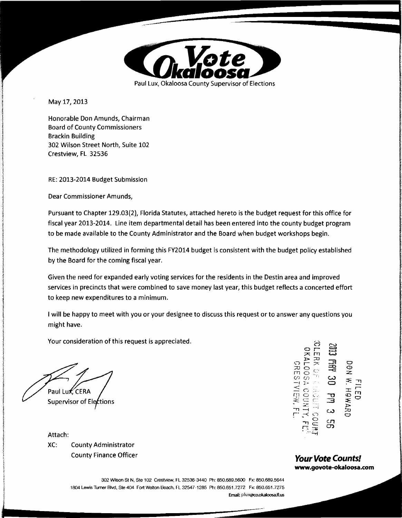

May 17, 2013

Honorable Don Amunds, Chairman Board of County Commissioners Brackin Building 302 Wilson Street North, Suite 102 Crestview, FL 32536

RE: 2013-2014 Budget Submission

Dear Commissioner Amunds,

Pursuant to Chapter 129.03(2), Florida Statutes, attached hereto is the budget request for this office for fiscal year 2013-2014. Line item departmental detail has been entered into the county budget program to be made available to the County Administrator and the Board when budget workshops begin.

The methodology utilized in forming this FY2014 budget is consistent with the budget policy established by the Board for the coming fiscal year.

Given the need for expanded early voting services for the residents in the Destin area and improved services in precincts that were combined to save money last year, this budget reflects a concerted effort to keep new expenditures to a minimum.

I will be happy to meet with you or your designee to discuss this request or to answer any questions you might have.

Your consideration of this request is appreciated.

Paul Lu*k*, CERA Supervisor of Elections

XC: County Administrator County Finance Officer **Your Vote Counts!** 

;t:,,. :::0 요든 $\approx$  로 있  $5007$ 3300<br>1200 **(f**<br>1200 **(f** <.:: r - <sup>0</sup>., .. '.I: *n,* rr 0 ~- -· -u *r* <sup>0</sup> .:::!::: <sup>C</sup>3 =E -~ ~- J:::,. <sup>w</sup><sup>~</sup>r· :-< ~") CJ LOOSA COUNT<br>CRESTVIEW, F  $\overline{u}$  $\mathcal{L}$ <br>Attach:  $\mathcal{L} = \mathcal{L}$ 

**www.govote-okaloosa.com** 

302 Wilson St N, Ste 102 Crestview, FL 32536-3440 Ph: 850.689.5600 Fx: 850.689.5644 1804 Lewis Turner Blvd, Ste 404 Fort Walton Beach, FL 32547-1285 Ph: 850.651.7272 Fx: 850.651.7275 Email: pluX@CO.okaloosa.tl.us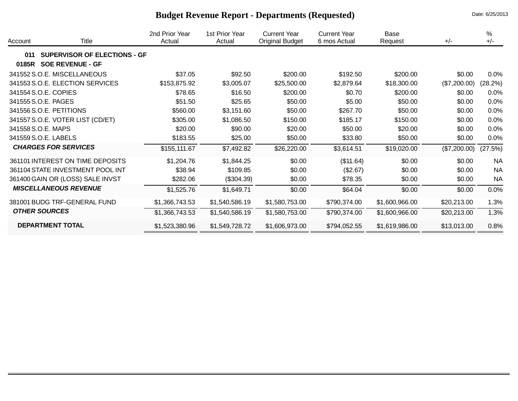| <b>Budget Revenue Report - Departments (Requested)</b> | Date: 6/25/2013 |
|--------------------------------------------------------|-----------------|
|--------------------------------------------------------|-----------------|

| Account | Title                               | 2nd Prior Year<br>Actual | 1st Prior Year<br>Actual | <b>Current Year</b><br><b>Original Budget</b> | <b>Current Year</b><br>6 mos Actual | <b>Base</b><br>Request | $+/-$        | $\%$<br>$+/-$ |
|---------|-------------------------------------|--------------------------|--------------------------|-----------------------------------------------|-------------------------------------|------------------------|--------------|---------------|
| 011     | <b>SUPERVISOR OF ELECTIONS - GF</b> |                          |                          |                                               |                                     |                        |              |               |
| 0185R   | <b>SOE REVENUE - GF</b>             |                          |                          |                                               |                                     |                        |              |               |
|         | 341552 S.O.E. MISCELLANEOUS         | \$37.05                  | \$92.50                  | \$200.00                                      | \$192.50                            | \$200.00               | \$0.00       | 0.0%          |
|         | 341553 S.O.E. ELECTION SERVICES     | \$153,875.92             | \$3,005.07               | \$25,500.00                                   | \$2,879.64                          | \$18,300.00            | (\$7,200.00) | (28.2%)       |
|         | 341554 S.O.E. COPIES                | \$78.65                  | \$16.50                  | \$200.00                                      | \$0.70                              | \$200.00               | \$0.00       | 0.0%          |
|         | 341555 S.O.E. PAGES                 | \$51.50                  | \$25.65                  | \$50.00                                       | \$5.00                              | \$50.00                | \$0.00       | 0.0%          |
|         | 341556 S.O.E. PETITIONS             | \$560.00                 | \$3,151.60               | \$50.00                                       | \$267.70                            | \$50.00                | \$0.00       | 0.0%          |
|         | 341557 S.O.E. VOTER LIST (CD/ET)    | \$305.00                 | \$1,086.50               | \$150.00                                      | \$185.17                            | \$150.00               | \$0.00       | 0.0%          |
|         | 341558 S.O.E. MAPS                  | \$20.00                  | \$90.00                  | \$20.00                                       | \$50.00                             | \$20.00                | \$0.00       | 0.0%          |
|         | 341559 S.O.E. LABELS                | \$183.55                 | \$25.00                  | \$50.00                                       | \$33.80                             | \$50.00                | \$0.00       | 0.0%          |
|         | <b>CHARGES FOR SERVICES</b>         | \$155,111.67             | \$7,492.82               | \$26,220.00                                   | \$3,614.51                          | \$19,020.00            | (\$7,200.00) | (27.5%)       |
|         | 361101 INTEREST ON TIME DEPOSITS    | \$1,204.76               | \$1,844.25               | \$0.00                                        | (\$11.64)                           | \$0.00                 | \$0.00       | <b>NA</b>     |
|         | 361104 STATE INVESTMENT POOL INT    | \$38.94                  | \$109.85                 | \$0.00                                        | (\$2.67)                            | \$0.00                 | \$0.00       | <b>NA</b>     |
|         | 361400 GAIN OR (LOSS) SALE INVST    | \$282.06                 | (\$304.39)               | \$0.00                                        | \$78.35                             | \$0.00                 | \$0.00       | <b>NA</b>     |
|         | <b>MISCELLANEOUS REVENUE</b>        | \$1,525.76               | \$1,649.71               | \$0.00                                        | \$64.04                             | \$0.00                 | \$0.00       | 0.0%          |
|         | 381001 BUDG TRF-GENERAL FUND        | \$1,366,743.53           | \$1,540,586.19           | \$1,580,753.00                                | \$790,374.00                        | \$1,600,966.00         | \$20,213.00  | 1.3%          |
|         | <b>OTHER SOURCES</b>                | \$1,366,743.53           | \$1,540,586.19           | \$1,580,753.00                                | \$790,374.00                        | \$1,600,966.00         | \$20,213.00  | 1.3%          |
|         | <b>DEPARTMENT TOTAL</b>             | \$1,523,380.96           | \$1,549,728.72           | \$1,606,973.00                                | \$794,052.55                        | \$1,619,986.00         | \$13,013.00  | 0.8%          |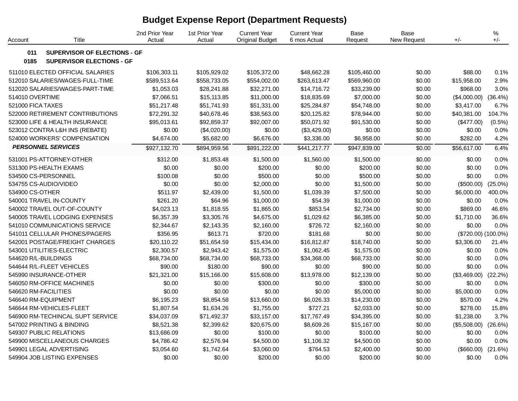# **Budget Expense Report (Department Requests)**

| Account           | Title                               | 2nd Prior Year<br>Actual | 1st Prior Year<br>Actual | <b>Current Year</b><br><b>Original Budget</b> | <b>Current Year</b><br>6 mos Actual | Base<br>Request | Base<br>New Request | $+/-$               | %<br>$+/-$ |
|-------------------|-------------------------------------|--------------------------|--------------------------|-----------------------------------------------|-------------------------------------|-----------------|---------------------|---------------------|------------|
| 011               | <b>SUPERVISOR OF ELECTIONS - GF</b> |                          |                          |                                               |                                     |                 |                     |                     |            |
| 0185              | <b>SUPERVISOR ELECTIONS - GF</b>    |                          |                          |                                               |                                     |                 |                     |                     |            |
|                   | 511010 ELECTED OFFICIAL SALARIES    | \$106,303.11             | \$105,929.02             | \$105,372.00                                  | \$48,662.28                         | \$105,460.00    | \$0.00              | \$88.00             | 0.1%       |
|                   | 512010 SALARIES/WAGES-FULL-TIME     | \$589,513.64             | \$558,733.05             | \$554,002.00                                  | \$263,613.47                        | \$569,960.00    | \$0.00              | \$15,958.00         | 2.9%       |
|                   | 512020 SALARIES/WAGES-PART-TIME     | \$1,053.03               | \$28,241.88              | \$32,271.00                                   | \$14,716.72                         | \$33,239.00     | \$0.00              | \$968.00            | 3.0%       |
| 514010 OVERTIME   |                                     | \$7,066.51               | \$15,113.85              | \$11,000.00                                   | \$18,835.69                         | \$7,000.00      | \$0.00              | (\$4,000.00)        | (36.4%)    |
| 521000 FICA TAXES |                                     | \$51,217.48              | \$51,741.93              | \$51,331.00                                   | \$25,284.87                         | \$54,748.00     | \$0.00              | \$3,417.00          | 6.7%       |
|                   | 522000 RETIREMENT CONTRIBUTIONS     | \$72,291.32              | \$40,678.46              | \$38,563.00                                   | \$20,125.82                         | \$78,944.00     | \$0.00              | \$40,381.00         | 104.7%     |
|                   | 523000 LIFE & HEALTH INSURANCE      | \$95,013.61              | \$92,859.37              | \$92,007.00                                   | \$50,071.92                         | \$91,530.00     | \$0.00              | (\$477.00)          | $(0.5\%)$  |
|                   | 523012 CONTRA L&H INS (REBATE)      | \$0.00                   | (\$4,020.00)             | \$0.00                                        | (\$3,429.00)                        | \$0.00          | \$0.00              | \$0.00              | 0.0%       |
|                   | 524000 WORKERS' COMPENSATION        | \$4,674.00               | \$5,682.00               | \$6,676.00                                    | \$3,336.00                          | \$6,958.00      | \$0.00              | \$282.00            | 4.2%       |
|                   | <b>PERSONNEL SERVICES</b>           | \$927,132.70             | \$894,959.56             | \$891,222.00                                  | \$441,217.77                        | \$947,839.00    | \$0.00              | \$56,617.00         | 6.4%       |
|                   | 531001 PS-ATTORNEY-OTHER            | \$312.00                 | \$1,853.48               | \$1,500.00                                    | \$1,560.00                          | \$1,500.00      | \$0.00              | \$0.00              | 0.0%       |
|                   | 531300 PS-HEALTH EXAMS              | \$0.00                   | \$0.00                   | \$200.00                                      | \$0.00                              | \$200.00        | \$0.00              | \$0.00              | 0.0%       |
|                   | 534500 CS-PERSONNEL                 | \$100.08                 | \$0.00                   | \$500.00                                      | \$0.00                              | \$500.00        | \$0.00              | \$0.00              | 0.0%       |
|                   | 534755 CS-AUDIO/VIDEO               | \$0.00                   | \$0.00                   | \$2,000.00                                    | \$0.00                              | \$1,500.00      | \$0.00              | (\$500.00)          | $(25.0\%)$ |
| 534900 CS-OTHER   |                                     | \$511.97                 | \$2,439.00               | \$1,500.00                                    | \$1,039.39                          | \$7,500.00      | \$0.00              | \$6,000.00          | 400.0%     |
|                   | 540001 TRAVEL IN-COUNTY             | \$261.20                 | \$64.96                  | \$1,000.00                                    | \$54.39                             | \$1,000.00      | \$0.00              | \$0.00              | 0.0%       |
|                   | 540002 TRAVEL OUT-OF-COUNTY         | \$4,023.13               | \$1,818.55               | \$1,865.00                                    | \$853.54                            | \$2,734.00      | \$0.00              | \$869.00            | 46.6%      |
|                   | 540005 TRAVEL LODGING EXPENSES      | \$6,357.39               | \$3,305.76               | \$4,675.00                                    | \$1,029.62                          | \$6,385.00      | \$0.00              | \$1,710.00          | 36.6%      |
|                   | 541010 COMMUNICATIONS SERVICE       | \$2,344.67               | \$2,143.35               | \$2,160.00                                    | \$726.72                            | \$2,160.00      | \$0.00              | \$0.00              | 0.0%       |
|                   | 541011 CELLULAR PHONES/PAGERS       | \$356.95                 | \$613.71                 | \$720.00                                      | \$181.68                            | \$0.00          | \$0.00              | (\$720.00) (100.0%) |            |
|                   | 542001 POSTAGE/FREIGHT CHARGES      | \$20,110.22              | \$51,654.59              | \$15,434.00                                   | \$16,812.87                         | \$18,740.00     | \$0.00              | \$3,306.00          | 21.4%      |
|                   | 543001 UTILITIES-ELECTRIC           | \$2,300.57               | \$2,943.42               | \$1,575.00                                    | \$1,062.45                          | \$1,575.00      | \$0.00              | \$0.00              | 0.0%       |
|                   | 544620 R/L-BUILDINGS                | \$68,734.00              | \$68,734.00              | \$68,733.00                                   | \$34,368.00                         | \$68,733.00     | \$0.00              | \$0.00              | 0.0%       |
|                   | 544644 R/L-FLEET VEHICLES           | \$90.00                  | \$180.00                 | \$90.00                                       | \$0.00                              | \$90.00         | \$0.00              | \$0.00              | 0.0%       |
|                   | 545990 INSURANCE-OTHER              | \$21,321.00              | \$15,166.00              | \$15,608.00                                   | \$13,978.00                         | \$12,139.00     | \$0.00              | (\$3,469.00)        | (22.2%)    |
|                   | 546050 RM-OFFICE MACHINES           | \$0.00                   | \$0.00                   | \$300.00                                      | \$0.00                              | \$300.00        | \$0.00              | \$0.00              | 0.0%       |
|                   | 546620 RM-FACILITIES                | \$0.00                   | \$0.00                   | \$0.00                                        | \$0.00                              | \$5,000.00      | \$0.00              | \$5,000.00          | 0.0%       |
|                   | 546640 RM-EQUIPMENT                 | \$6,195.23               | \$8,854.58               | \$13,660.00                                   | \$6,026.33                          | \$14,230.00     | \$0.00              | \$570.00            | 4.2%       |
|                   | 546644 RM-VEHICLES-FLEET            | \$1,807.54               | \$1,634.26               | \$1,755.00                                    | \$727.21                            | \$2,033.00      | \$0.00              | \$278.00            | 15.8%      |
|                   | 546900 RM-TECHINCAL SUPT SERVICE    | \$34,037.09              | \$71,492.37              | \$33,157.00                                   | \$17,767.49                         | \$34,395.00     | \$0.00              | \$1,238.00          | 3.7%       |
|                   | 547002 PRINTING & BINDING           | \$8,521.38               | \$2,399.62               | \$20,675.00                                   | \$8,609.26                          | \$15,167.00     | \$0.00              | (\$5,508.00)        | (26.6%)    |
|                   | 549307 PUBLIC RELATIONS             | \$13,686.09              | \$0.00                   | \$100.00                                      | \$0.00                              | \$100.00        | \$0.00              | \$0.00              | 0.0%       |
|                   | 549900 MISCELLANEOUS CHARGES        | \$4,786.42               | \$2,576.94               | \$4,500.00                                    | \$1,106.32                          | \$4,500.00      | \$0.00              | \$0.00              | 0.0%       |
|                   | 549901 LEGAL ADVERTISING            | \$3,054.60               | \$1,742.64               | \$3,060.00                                    | \$764.53                            | \$2,400.00      | \$0.00              | (\$660.00)          | (21.6%)    |
|                   | 549904 JOB LISTING EXPENSES         | \$0.00                   | \$0.00                   | \$200.00                                      | \$0.00                              | \$200.00        | \$0.00              | \$0.00              | 0.0%       |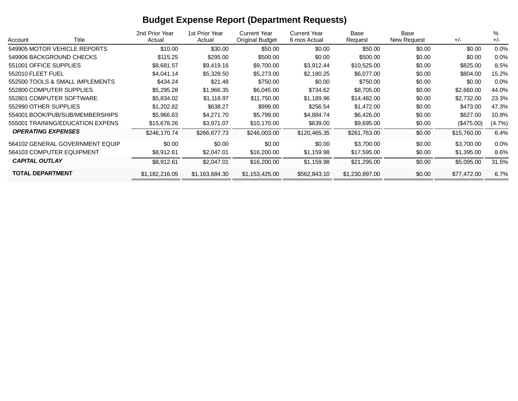# **Budget Expense Report (Department Requests)**

|                                  |       | 2nd Prior Year | 1st Prior Year | <b>Current Year</b>    | <b>Current Year</b> | Base           | Base        |             | %       |
|----------------------------------|-------|----------------|----------------|------------------------|---------------------|----------------|-------------|-------------|---------|
| Account                          | Title | Actual         | Actual         | <b>Original Budget</b> | 6 mos Actual        | Request        | New Request | $+/-$       | $+/-$   |
| 549905 MOTOR VEHICLE REPORTS     |       | \$10.00        | \$30.00        | \$50.00                | \$0.00              | \$50.00        | \$0.00      | \$0.00      | $0.0\%$ |
| 549906 BACKGROUND CHECKS         |       | \$115.25       | \$295.00       | \$500.00               | \$0.00              | \$500.00       | \$0.00      | \$0.00      | $0.0\%$ |
| 551001 OFFICE SUPPLIES           |       | \$8,681.57     | \$9,419.16     | \$9,700.00             | \$3,912.44          | \$10,525.00    | \$0.00      | \$825.00    | 8.5%    |
| 552010 FLEET FUEL                |       | \$4,041.14     | \$5,328.50     | \$5,273.00             | \$2,180.25          | \$6,077.00     | \$0.00      | \$804.00    | 15.2%   |
| 552500 TOOLS & SMALL IMPLEMENTS  |       | \$434.24       | \$21.48        | \$750.00               | \$0.00              | \$750.00       | \$0.00      | \$0.00      | $0.0\%$ |
| 552800 COMPUTER SUPPLIES         |       | \$5,295.28     | \$1,966.35     | \$6,045.00             | \$734.62            | \$8,705.00     | \$0.00      | \$2,660.00  | 44.0%   |
| 552801 COMPUTER SOFTWARE         |       | \$5,834.02     | \$1,118.97     | \$11,750.00            | \$1,189.96          | \$14,482.00    | \$0.00      | \$2,732.00  | 23.3%   |
| 552990 OTHER SUPPLIES            |       | \$1,202.82     | \$638.27       | \$999.00               | \$256.54            | \$1,472.00     | \$0.00      | \$473.00    | 47.3%   |
| 554001 BOOK/PUB/SUB/MEMBERSHIPS  |       | \$5,966.63     | \$4,271.70     | \$5,799.00             | \$4,884.74          | \$6,426.00     | \$0.00      | \$627.00    | 10.8%   |
| 555001 TRAINING/EDUCATION EXPENS |       | \$15,678.26    | \$3,971.07     | \$10,170.00            | \$639.00            | \$9,695.00     | \$0.00      | (S475.00)   | (4.7%)  |
| <b>OPERATING EXPENSES</b>        |       | \$246,170.74   | \$266,677.73   | \$246,003.00           | \$120,465.35        | \$261,763.00   | \$0.00      | \$15,760.00 | 6.4%    |
| 564102 GENERAL GOVERNMENT EQUIP  |       | \$0.00         | \$0.00         | \$0.00                 | \$0.00              | \$3,700.00     | \$0.00      | \$3,700.00  | $0.0\%$ |
| 564103 COMPUTER EQUIPMENT        |       | \$8,912.61     | \$2,047.01     | \$16,200.00            | \$1,159.98          | \$17,595.00    | \$0.00      | \$1,395.00  | 8.6%    |
| <b>CAPITAL OUTLAY</b>            |       | \$8,912.61     | \$2,047.01     | \$16,200.00            | \$1,159.98          | \$21,295.00    | \$0.00      | \$5,095.00  | 31.5%   |
| <b>TOTAL DEPARTMENT</b>          |       | \$1,182,216.05 | \$1,163,684.30 | \$1,153,425.00         | \$562,843.10        | \$1,230,897.00 | \$0.00      | \$77,472.00 | 6.7%    |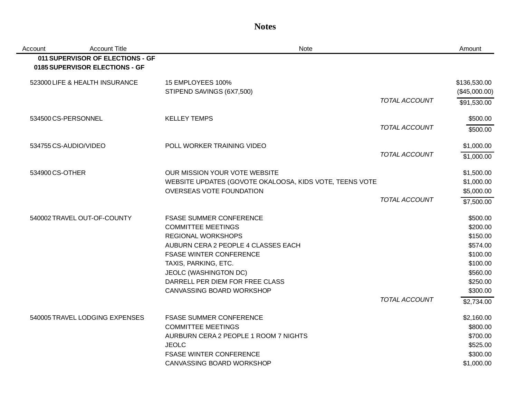### **Notes**

| Account         | <b>Account Title</b>                                               | Note                                                    |                      | Amount                        |
|-----------------|--------------------------------------------------------------------|---------------------------------------------------------|----------------------|-------------------------------|
|                 | 011 SUPERVISOR OF ELECTIONS - GF<br>0185 SUPERVISOR ELECTIONS - GF |                                                         |                      |                               |
|                 | 523000 LIFE & HEALTH INSURANCE                                     | 15 EMPLOYEES 100%<br>STIPEND SAVINGS (6X7,500)          |                      | \$136,530.00<br>(\$45,000.00) |
|                 |                                                                    |                                                         | <b>TOTAL ACCOUNT</b> | \$91,530.00                   |
|                 | 534500 CS-PERSONNEL                                                | <b>KELLEY TEMPS</b>                                     |                      | \$500.00                      |
|                 |                                                                    |                                                         | <b>TOTAL ACCOUNT</b> | \$500.00                      |
|                 | 534755 CS-AUDIO/VIDEO                                              | POLL WORKER TRAINING VIDEO                              |                      | \$1,000.00                    |
|                 |                                                                    |                                                         | <b>TOTAL ACCOUNT</b> | \$1,000.00                    |
| 534900 CS-OTHER |                                                                    | OUR MISSION YOUR VOTE WEBSITE                           |                      | \$1,500.00                    |
|                 |                                                                    | WEBSITE UPDATES (GOVOTE OKALOOSA, KIDS VOTE, TEENS VOTE |                      | \$1,000.00                    |
|                 |                                                                    | <b>OVERSEAS VOTE FOUNDATION</b>                         |                      | \$5,000.00                    |
|                 |                                                                    |                                                         | <b>TOTAL ACCOUNT</b> | \$7,500.00                    |
|                 | 540002 TRAVEL OUT-OF-COUNTY                                        | <b>FSASE SUMMER CONFERENCE</b>                          |                      | \$500.00                      |
|                 |                                                                    | <b>COMMITTEE MEETINGS</b>                               |                      | \$200.00                      |
|                 |                                                                    | <b>REGIONAL WORKSHOPS</b>                               |                      | \$150.00                      |
|                 |                                                                    | AUBURN CERA 2 PEOPLE 4 CLASSES EACH                     |                      | \$574.00                      |
|                 |                                                                    | <b>FSASE WINTER CONFERENCE</b>                          |                      | \$100.00                      |
|                 |                                                                    | TAXIS, PARKING, ETC.                                    |                      | \$100.00                      |
|                 |                                                                    | <b>JEOLC (WASHINGTON DC)</b>                            |                      | \$560.00                      |
|                 |                                                                    | DARRELL PER DIEM FOR FREE CLASS                         |                      | \$250.00                      |
|                 |                                                                    | CANVASSING BOARD WORKSHOP                               |                      | \$300.00                      |
|                 |                                                                    |                                                         | <b>TOTAL ACCOUNT</b> | \$2,734.00                    |
|                 | 540005 TRAVEL LODGING EXPENSES                                     | <b>FSASE SUMMER CONFERENCE</b>                          |                      | \$2,160.00                    |
|                 |                                                                    | <b>COMMITTEE MEETINGS</b>                               |                      | \$800.00                      |
|                 |                                                                    | AURBURN CERA 2 PEOPLE 1 ROOM 7 NIGHTS                   |                      | \$700.00                      |
|                 |                                                                    | <b>JEOLC</b>                                            |                      | \$525.00                      |
|                 |                                                                    | <b>FSASE WINTER CONFERENCE</b>                          |                      | \$300.00                      |
|                 |                                                                    | CANVASSING BOARD WORKSHOP                               |                      | \$1,000.00                    |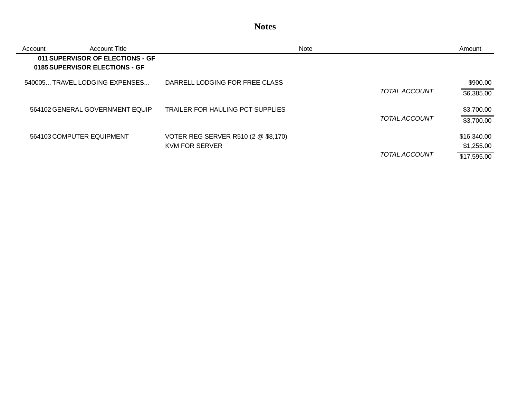## **Notes**

| Account | Account Title                                                      |                                     | <b>Note</b>          | Amount      |
|---------|--------------------------------------------------------------------|-------------------------------------|----------------------|-------------|
|         | 011 SUPERVISOR OF ELECTIONS - GF<br>0185 SUPERVISOR ELECTIONS - GF |                                     |                      |             |
|         | 540005 TRAVEL LODGING EXPENSES                                     | DARRELL LODGING FOR FREE CLASS      |                      | \$900.00    |
|         |                                                                    |                                     | TOTAL ACCOUNT        | \$6,385.00  |
|         | 564102 GENERAL GOVERNMENT EQUIP                                    | TRAILER FOR HAULING PCT SUPPLIES    |                      | \$3,700.00  |
|         |                                                                    |                                     | TOTAL ACCOUNT        | \$3,700.00  |
|         | 564103 COMPUTER EQUIPMENT                                          | VOTER REG SERVER R510 (2 @ \$8,170) |                      | \$16,340.00 |
|         |                                                                    | KVM FOR SERVER                      |                      | \$1,255.00  |
|         |                                                                    |                                     | <b>TOTAL ACCOUNT</b> | \$17,595.00 |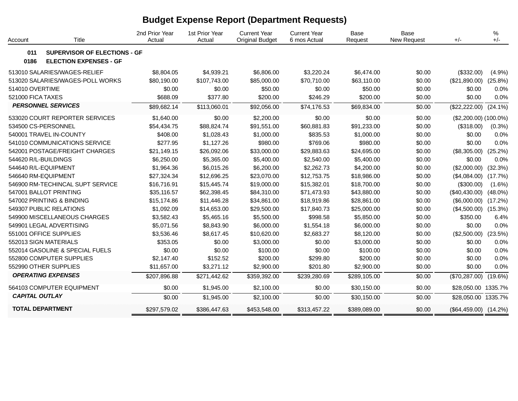# **Budget Expense Report (Department Requests)**

| Account               | Title                                                                | 2nd Prior Year<br>Actual | 1st Prior Year<br>Actual | <b>Current Year</b><br><b>Original Budget</b> | <b>Current Year</b><br>6 mos Actual | Base<br>Request | <b>Base</b><br>New Request | $+/-$                     | %<br>$+/-$ |
|-----------------------|----------------------------------------------------------------------|--------------------------|--------------------------|-----------------------------------------------|-------------------------------------|-----------------|----------------------------|---------------------------|------------|
| 011<br>0186           | <b>SUPERVISOR OF ELECTIONS - GF</b><br><b>ELECTION EXPENSES - GF</b> |                          |                          |                                               |                                     |                 |                            |                           |            |
|                       | 513010 SALARIES/WAGES-RELIEF                                         | \$8,804.05               | \$4,939.21               | \$6,806.00                                    | \$3,220.24                          | \$6,474.00      | \$0.00                     | (\$332.00)                | (4.9%)     |
|                       | 513020 SALARIES/WAGES-POLL WORKS                                     | \$80,190.00              | \$107,743.00             | \$85,000.00                                   | \$70,710.00                         | \$63,110.00     | \$0.00                     | (\$21,890.00)             | $(25.8\%)$ |
| 514010 OVERTIME       |                                                                      | \$0.00                   | \$0.00                   | \$50.00                                       | \$0.00                              | \$50.00         | \$0.00                     | \$0.00                    | 0.0%       |
| 521000 FICA TAXES     |                                                                      | \$688.09                 | \$377.80                 | \$200.00                                      | \$246.29                            | \$200.00        | \$0.00                     | \$0.00                    | 0.0%       |
|                       | <b>PERSONNEL SERVICES</b>                                            | \$89,682.14              | \$113,060.01             | \$92,056.00                                   | \$74,176.53                         | \$69,834.00     | \$0.00                     | (\$22,222.00)             | $(24.1\%)$ |
|                       | 533020 COURT REPORTER SERVICES                                       | \$1,640.00               | \$0.00                   | \$2,200.00                                    | \$0.00                              | \$0.00          | \$0.00                     | $($2,200.00) (100.0\%)$   |            |
|                       | 534500 CS-PERSONNEL                                                  | \$54,434.75              | \$88,824.74              | \$91,551.00                                   | \$60,881.83                         | \$91,233.00     | \$0.00                     | (\$318.00)                | (0.3%)     |
|                       | 540001 TRAVEL IN-COUNTY                                              | \$408.00                 | \$1,028.43               | \$1,000.00                                    | \$835.53                            | \$1,000.00      | \$0.00                     | \$0.00                    | 0.0%       |
|                       | 541010 COMMUNICATIONS SERVICE                                        | \$277.95                 | \$1,127.26               | \$980.00                                      | \$769.06                            | \$980.00        | \$0.00                     | \$0.00                    | 0.0%       |
|                       | 542001 POSTAGE/FREIGHT CHARGES                                       | \$21,149.15              | \$26,092.06              | \$33,000.00                                   | \$29,883.63                         | \$24,695.00     | \$0.00                     | (\$8,305.00)              | (25.2%)    |
|                       | 544620 R/L-BUILDINGS                                                 | \$6,250.00               | \$5,365.00               | \$5,400.00                                    | \$2,540.00                          | \$5,400.00      | \$0.00                     | \$0.00                    | 0.0%       |
|                       | 544640 R/L-EQUIPMENT                                                 | \$1,964.36               | \$6,015.26               | \$6,200.00                                    | \$2,262.73                          | \$4,200.00      | \$0.00                     | (\$2,000.00)              | (32.3%)    |
|                       | 546640 RM-EQUIPMENT                                                  | \$27,324.34              | \$12,696.25              | \$23,070.00                                   | \$12,753.75                         | \$18,986.00     | \$0.00                     | (\$4,084.00)              | (17.7%)    |
|                       | 546900 RM-TECHINCAL SUPT SERVICE                                     | \$16,716.91              | \$15,445.74              | \$19,000.00                                   | \$15,382.01                         | \$18,700.00     | \$0.00                     | (\$300.00)                | $(1.6\%)$  |
|                       | 547001 BALLOT PRINTING                                               | \$35,116.57              | \$62,398.45              | \$84,310.00                                   | \$71,473.93                         | \$43,880.00     | \$0.00                     | $(\$40,430.00)$           | $(48.0\%)$ |
|                       | 547002 PRINTING & BINDING                                            | \$15,174.86              | \$11,446.28              | \$34,861.00                                   | \$18,919.86                         | \$28,861.00     | \$0.00                     | (\$6,000.00)              | (17.2%)    |
|                       | 549307 PUBLIC RELATIONS                                              | \$1,092.09               | \$14,653.00              | \$29,500.00                                   | \$17,840.73                         | \$25,000.00     | \$0.00                     | $($4,500.00)$ $(15.3\%)$  |            |
|                       | 549900 MISCELLANEOUS CHARGES                                         | \$3,582.43               | \$5,465.16               | \$5,500.00                                    | \$998.58                            | \$5,850.00      | \$0.00                     | \$350.00                  | 6.4%       |
|                       | 549901 LEGAL ADVERTISING                                             | \$5,071.56               | \$8,843.90               | \$6,000.00                                    | \$1,554.18                          | \$6,000.00      | \$0.00                     | \$0.00                    | 0.0%       |
|                       | 551001 OFFICE SUPPLIES                                               | \$3,536.46               | \$8,617.45               | \$10,620.00                                   | \$2,683.27                          | \$8,120.00      | \$0.00                     | (\$2,500.00)              | (23.5%)    |
|                       | 552013 SIGN MATERIALS                                                | \$353.05                 | \$0.00                   | \$3,000.00                                    | \$0.00                              | \$3,000.00      | \$0.00                     | \$0.00                    | 0.0%       |
|                       | 552014 GASOLINE & SPECIAL FUELS                                      | \$0.00                   | \$0.00                   | \$100.00                                      | \$0.00                              | \$100.00        | \$0.00                     | \$0.00                    | 0.0%       |
|                       | 552800 COMPUTER SUPPLIES                                             | \$2,147.40               | \$152.52                 | \$200.00                                      | \$299.80                            | \$200.00        | \$0.00                     | \$0.00                    | 0.0%       |
|                       | 552990 OTHER SUPPLIES                                                | \$11,657.00              | \$3,271.12               | \$2,900.00                                    | \$201.80                            | \$2,900.00      | \$0.00                     | \$0.00                    | 0.0%       |
|                       | <b>OPERATING EXPENSES</b>                                            | \$207,896.88             | \$271,442.62             | \$359,392.00                                  | \$239,280.69                        | \$289,105.00    | \$0.00                     | (\$70,287.00)             | $(19.6\%)$ |
|                       | 564103 COMPUTER EQUIPMENT                                            | \$0.00                   | \$1,945.00               | \$2,100.00                                    | \$0.00                              | \$30,150.00     | \$0.00                     | \$28,050.00 1335.7%       |            |
| <b>CAPITAL OUTLAY</b> |                                                                      | \$0.00                   | \$1,945.00               | \$2,100.00                                    | \$0.00                              | \$30,150.00     | \$0.00                     | \$28,050.00 1335.7%       |            |
|                       | <b>TOTAL DEPARTMENT</b>                                              | \$297,579.02             | \$386,447.63             | \$453,548.00                                  | \$313,457.22                        | \$389,089.00    | \$0.00                     | $($64,459.00)$ $(14.2\%)$ |            |